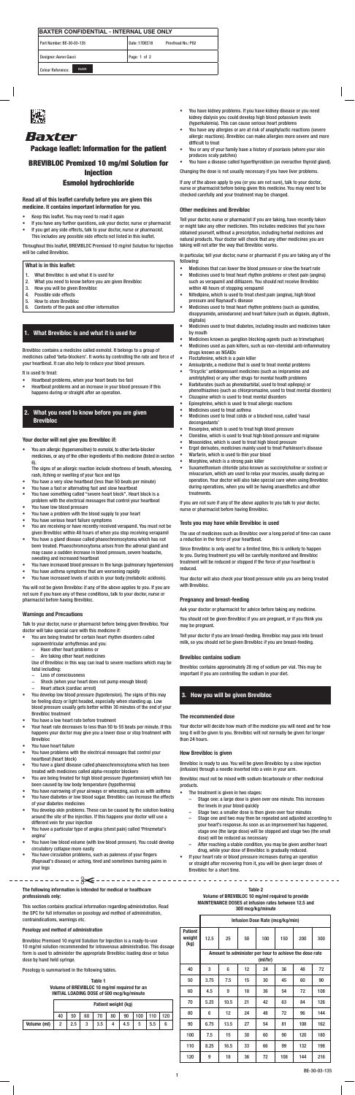| <b>IBAXTER CONFIDENTIAL - INTERNAL USE ONLY</b> |                                     |  |  |  |  |
|-------------------------------------------------|-------------------------------------|--|--|--|--|
| Part Number: BE-30-03-135                       | Proofread No.: P02<br>Date: 17DEC18 |  |  |  |  |
| Designer: Aaron Gauci                           | Page: 1 of 2                        |  |  |  |  |
| <b>BLACK</b><br><b>Colour Reference:</b>        |                                     |  |  |  |  |



# Baxter

# BREVIBLOC Premixed 10 mg/ml Solution for **Injection**

## Package leaflet: Information for the patient

## Esmolol hydrochloride

- Keep this leaflet. You may need to read it again
- If you have any further questions, ask your doctor, nurse or pharmacist If you get any side effects, talk to your doctor, nurse or pharmacist.
- This includes any possible side effects not listed in this leaflet.

### Read all of this leaflet carefully before you are given this medicine. It contains important information for you.

Throughout this leaflet, BREVIBLOC Premixed 10 mg/ml Solution for Injection will be called Brevibloc.

### What is in this leaflet:

- 1. What Brevibloc is and what it is used for
- 2. What you need to know before you are given Brevibloc
- 3. How you will be given Brevibloc
- 4. Possible side effects
- 5. How to store Brevibloc
- 6. Contents of the pack and other information

## 1. What Brevibloc is and what it is used for

Brevibloc contains a medicine called esmolol. It belongs to a group of medicines called 'beta-blockers'. It works by controlling the rate and force of your heartbeat. It can also help to reduce your blood pressure.

It is used to treat:

- Heartbeat problems, when your heart beats too fast
- Heartbeat problems and an increase in your blood pressure if this happens during or straight after an operation.

## 2. What you need to know before you are given Brevibloc

### Your doctor will not give you Brevibloc if:

• You are allergic (hypersensitive) to esmolol, to other beta-blocker medicines, or any of the other ingredients of this medicine (listed in section 6).

The signs of an allergic reaction include shortness of breath, wheezing, rash, itching or swelling of your face and lips

- You have a very slow heartbeat (less than 50 beats per minute)
- You have a fast or alternating fast and slow heartbeat
- You have something called "severe heart block". Heart block is a problem with the electrical messages that control your heartbeat You have low blood pressure
- You have a problem with the blood supply to your heart
- You have serious heart failure symptoms
- You are receiving or have recently received verapamil. You must not be given Brevibloc within 48 hours of when you stop receiving verapamil
- You have a gland disease called phaeochromocytoma which has not been treated. Phaeochromocytoma arises from the adrenal gland and may cause a sudden increase in blood pressure, severe headache, sweating and increased heartbeat
- You have increased blood pressure in the lungs (pulmonary hypertension)
- You have asthma symptoms that are worsening rapidly

• You have increased levels of acids in your body (metabolic acidosis).

You will not be given Brevibloc if any of the above applies to you. If you are not sure if you have any of these conditions, talk to your doctor, nurse or pharmacist before having Brevibloc.

### Warnings and Precautions

Talk to your doctor, nurse or pharmacist before being given Brevibloc. Your doctor will take special care with this medicine if:

- You are being treated for certain heart rhythm disorders called supraventricular arrhythmias and you:
	- Have other heart problems or
	- − Are taking other heart medicines

Use of Brevibloc in this way can lead to severe reactions which may be fatal including:

- − Loss of consciousness
- Shock (when your heart does not pump enough blood)
- − Heart attack (cardiac arrest)
- You develop low blood pressure (hypotension). The signs of this may be feeling dizzy or light headed, especially when standing up. Low blood pressure usually gets better within 30 minutes of the end of your Brevibloc treatment
- You have a low heart rate before treatment
- Your heart rate decreases to less than 50 to 55 beats per minute. If this happens your doctor may give you a lower dose or stop treatment with Brevibloc
- You have heart failure
- You have problems with the electrical messages that control your heartbeat (heart block)
- You have a gland disease called phaeochromocytoma which has been treated with medicines called alpha-receptor blockers
- You are being treated for high blood pressure (hypertension) which has been caused by low body temperature (hypothermia)
- You have narrowing of your airways or wheezing, such as with asthma
- You have diabetes or low blood sugar. Brevibloc can increase the effects of your diabetes medicines
- You develop skin problems. These can be caused by the solution leaking around the site of the injection. If this happens your doctor will use a different vein for your injection
- You have a particular type of angina (chest pain) called 'Prinzmetal's angina'
- You have low blood volume (with low blood pressure). You could develop circulatory collapse more easily
- You have circulation problems, such as paleness of your fingers (Raynaud's disease) or aching, tired and sometimes burning pains in your legs
- The treatment is given in two stages:
	- Stage one: a large dose is given over one minute. This increases the levels in your blood quickly
	- Stage two: a smaller dose is then given over four minutes
	- Stage one and two may then be repeated and adjusted according to your heart's response. As soon as an improvement has happened, stage one (the large dose) will be stopped and stage two (the small dose) will be reduced as necessary
	- After reaching a stable condition, you may be given another heart drug, while your dose of Brevibloc is gradually reduced.
- If your heart rate or blood pressure increases during an operation or straight after recovering from it, you will be given larger doses of Brevibloc for a short time.
- You have kidney problems. If you have kidney disease or you need kidney dialysis you could develop high blood potassium levels (hyperkalemia). This can cause serious heart problems
- You have any allergies or are at risk of anaphylactic reactions (severe allergic reactions). Brevibloc can make allergies more severe and more difficult to treat
- You or any of your family have a history of psoriasis (where your skin produces scaly patches)
- You have a disease called hyperthyroidism (an overactive thyroid gland).

Changing the dose is not usually necessary if you have liver problems.

If any of the above apply to you (or you are not sure), talk to your doctor, nurse or pharmacist before being given this medicine. You may need to be checked carefully and your treatment may be changed.

### Other medicines and Brevibloc

Tell your doctor, nurse or pharmacist if you are taking, have recently taken or might take any other medicines. This includes medicines that you have obtained yourself, without a prescription, including herbal medicines and natural products. Your doctor will check that any other medicines you are taking will not alter the way that Brevibloc works.

In particular, tell your doctor, nurse or pharmacist if you are taking any of the following:

- Medicines that can lower the blood pressure or slow the heart rate
- Medicines used to treat heart rhythm problems or chest pain (angina) such as verapamil and diltiazem. You should not receive Brevibloc within 48 hours of stopping verapamil
- Nifedipine, which is used to treat chest pain (angina), high blood pressure and Raynaud's disease
- Medicines used to treat heart rhythm problems (such as quinidine, disopyramide, amiodarone) and heart failure (such as digoxin, digitoxin, digitalis)
- Medicines used to treat diabetes, including insulin and medicines taken by mouth
- Medicines known as ganglion blocking agents (such as trimetaphan)
- Medicines used as pain killers, such as non-steroidal anti-inflammatory drugs known as NSAIDs
- Floctafenine, which is a pain killer
- Amisulpride, a medicine that is used to treat mental problems • 'Tricyclic' antidepressant medicines (such as imipramine and
- amitriptyline) or any other drugs for mental health problems • Barbiturates (such as phenobarbital, used to treat epilepsy) or
- phenothiazines (such as chlorpromazine, used to treat mental disorders) • Clozapine which is used to treat mental disorders
- Epinephrine, which is used to treat allergic reactions
- Medicines used to treat asthma
- Medicines used to treat colds or a blocked nose, called 'nasal decongestants'
- Reserpine, which is used to treat high blood pressure
- Clonidine, which is used to treat high blood pressure and migraine
- Moxonidine, which is used to treat high blood pressure
- Ergot derivates, medicines mainly used to treat Parkinson's disease
- Warfarin, which is used to thin your blood
- Morphine, which is a strong pain killer
- Suxamethonium chloride (also known as succinylcholine or scoline) or mivacurium, which are used to relax your muscles, usually during an operation. Your doctor will also take special care when using Brevibloc during operations, when you will be having anaesthetics and other treatments.

If you are not sure if any of the above applies to you talk to your doctor, nurse or pharmacist before having Brevibloc.

### Tests you may have while Brevibloc is used

The use of medicines such as Brevibloc over a long period of time can cause a reduction in the force of your heartbeat.

Since Brevibloc is only used for a limited time, this is unlikely to happen to you. During treatment you will be carefully monitored and Brevibloc treatment will be reduced or stopped if the force of your heartbeat is reduced.

Your doctor will also check your blood pressure while you are being treated with Brevibloc.

### Pregnancy and breast-feeding

Ask your doctor or pharmacist for advice before taking any medicine.

You should not be given Brevibloc if you are pregnant, or if you think you may be pregnant.

Tell your doctor if you are breast-feeding. Brevibloc may pass into breast milk, so you should not be given Brevibloc if you are breast-feeding.

### Brevibloc contains sodium

Brevibloc contains approximately 28 mg of sodium per vial. This may be important if you are controlling the sodium in your diet.

## 3. How you will be given Brevibloc

### The recommended dose

Your doctor will decide how much of the medicine you will need and for how long it will be given to you. Brevibloc will not normally be given for longer than 24 hours.

### How Brevibloc is given

Brevibloc is ready to use. You will be given Brevibloc by a slow injection (infusion) through a needle inserted into a vein in your arm.

Brevibloc must not be mixed with sodium bicarbonate or other medicinal products.

The following information is intended for medical or healthcare professionals only:

This section contains practical information regarding administration. Read the SPC for full information on posology and method of administration, contraindications, warnings etc.

#### Posology and method of administration

Brevibloc Premixed 10 mg/ml Solution for Injection is a ready-to-use 10 mg/ml solution recommended for intravenous administration. This dosage form is used to administer the appropriate Brevibloc loading dose or bolus dose by hand held syringe.

Posology is summarised in the following tables.

Table 1 Volume of BREVIBLOC 10 mg/ml required for an INITIAL LOADING DOSE of 500 mcg/kg/minute

|             | Patient weight (kg) |     |        |     |    |     |     |     |     |
|-------------|---------------------|-----|--------|-----|----|-----|-----|-----|-----|
|             | 40                  | 50  | 60     | 70  | 80 | 90  | 100 | 110 | 120 |
| Volume (ml) | 2                   | 2.5 | G<br>J | 3.5 |    | 4.5 | 5   | 5.5 | 6   |

#### Table 2

#### Volume of BREVIBLOC 10 mg/ml required to provide MAINTENANCE DOSES at infusion rates between 12.5 and 300 mcg/kg/minute

|                                  | Infusion Dose Rate (mcg/kg/min)                                   |      |    |     |     |     |     |
|----------------------------------|-------------------------------------------------------------------|------|----|-----|-----|-----|-----|
| <b>Patient</b><br>weight<br>(kg) | 12.5                                                              | 25   | 50 | 100 | 150 | 200 | 300 |
|                                  | Amount to administer per hour to achieve the dose rate<br>(mI/hr) |      |    |     |     |     |     |
| 40                               | 3                                                                 | 6    | 12 | 24  | 36  | 48  | 72  |
| 50                               | 3.75                                                              | 7.5  | 15 | 30  | 45  | 60  | 90  |
| 60                               | 4.5                                                               | 9    | 18 | 36  | 54  | 72  | 108 |
| 70                               | 5.25                                                              | 10.5 | 21 | 42  | 63  | 84  | 126 |
| 80                               | 6                                                                 | 12   | 24 | 48  | 72  | 96  | 144 |
| 90                               | 6.75                                                              | 13.5 | 27 | 54  | 81  | 108 | 162 |
| 100                              | 7.5                                                               | 15   | 30 | 60  | 90  | 120 | 180 |
| 110                              | 8.25                                                              | 16.5 | 33 | 66  | 99  | 132 | 198 |
| 120                              | 9                                                                 | 18   | 36 | 72  | 108 | 144 | 216 |